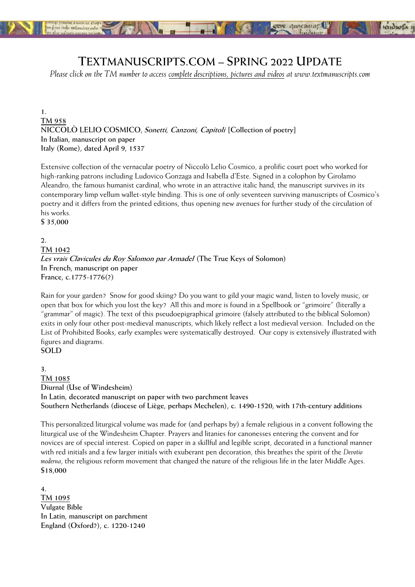

# **TEXTMANUSCRIPTS.COM – SPRING 2022 UPDATE**

*Please click on the TM number to access complete descriptions, pictures and videos at www.textmanuscripts.com* 

**1. [TM 958](https://www.textmanuscripts.com/medieval/cosmico-collection-of-poetry-182273) NICCOLÒ LELIO COSMICO, Sonetti, Canzoni, Capitoli [Collection of poetry] In Italian, manuscript on paper Italy (Rome), dated April 9, 1537** 

Extensive collection of the vernacular poetry of Niccolò Lelio Cosmico, a prolific court poet who worked for high-ranking patrons including Ludovico Gonzaga and Isabella d'Este. Signed in a colophon by Girolamo Aleandro, the famous humanist cardinal, who wrote in an attractive italic hand, the manuscript survives in its contemporary limp vellum wallet-style binding. This is one of only seventeen surviving manuscripts of Cosmico's poetry and it differs from the printed editions, thus opening new avenues for further study of the circulation of his works.

**\$ 35,000** 

### **2.**

**[TM 1042](https://www.textmanuscripts.com/medieval/true-keys-of-salomon-182280) Les vrais Clavicules du Roy Salomon par Armadel (The True Keys of Solomon) In French, manuscript on paper France, c.1775-1776(?)** 

Rain for your garden? Snow for good skiing? Do you want to gild your magic wand, listen to lovely music, or open that box for which you lost the key? All this and more is found in a Spellbook or "grimoire" (literally a "grammar" of magic). The text of this pseudoepigraphical grimoire (falsely attributed to the biblical Solomon) exits in only four other post-medieval manuscripts, which likely reflect a lost medieval version. Included on the List of Prohibited Books, early examples were systematically destroyed. Our copy is extensively illustrated with figures and diagrams.

# **SOLD**

**3. [TM 1085](https://www.textmanuscripts.com/medieval/diurnal-use-of-windesheim-182286) Diurnal (Use of Windesheim) In Latin, decorated manuscript on paper with two parchment leaves Southern Netherlands (diocese of Liège, perhaps Mechelen), c. 1490-1520, with 17th-century additions** 

This personalized liturgical volume was made for (and perhaps by) a female religious in a convent following the liturgical use of the Windesheim Chapter. Prayers and litanies for canonesses entering the convent and for novices are of special interest. Copied on paper in a skillful and legible script, decorated in a functional manner with red initials and a few larger initials with exuberant pen decoration, this breathes the spirit of the *Devotio moderna*, the religious reform movement that changed the nature of the religious life in the later Middle Ages. **\$18,000** 

**4. [TM 1095](https://www.textmanuscripts.com/medieval/english-vulgate-bible-182290) Vulgate Bible In Latin, manuscript on parchment England (Oxford?), c. 1220-1240**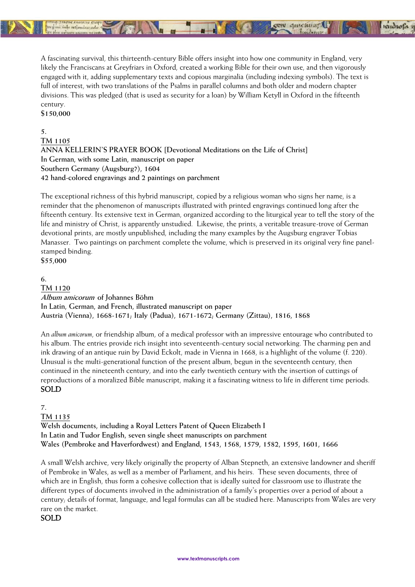

A fascinating survival, this thirteenth-century Bible offers insight into how one community in England, very likely the Franciscans at Greyfriars in Oxford, created a working Bible for their own use, and then vigorously engaged with it, adding supplementary texts and copious marginalia (including indexing symbols). The text is full of interest, with two translations of the Psalms in parallel columns and both older and modern chapter divisions. This was pledged (that is used as security for a loan) by William Ketyll in Oxford in the fifteenth century.

 $\blacksquare$ 

**CEN quicklug** 

rendwe

**\$150,000** 

#### **5.**

**[TM 1105](https://www.textmanuscripts.com/medieval/devotional-meditations-182291)**

**ANNA KELLERIN'S PRAYER BOOK [Devotional Meditations on the Life of Christ] In German, with some Latin, manuscript on paper Southern Germany (Augsburg?), 1604 42 hand-colored engravings and 2 paintings on parchment** 

No o

The exceptional richness of this hybrid manuscript, copied by a religious woman who signs her name, is a reminder that the phenomenon of manuscripts illustrated with printed engravings continued long after the fifteenth century. Its extensive text in German, organized according to the liturgical year to tell the story of the life and ministry of Christ, is apparently unstudied. Likewise, the prints, a veritable treasure-trove of German devotional prints, are mostly unpublished, including the many examples by the Augsburg engraver Tobias Manasser. Two paintings on parchment complete the volume, which is preserved in its original very fine panelstamped binding. **\$55,000** 

**6.**

**[TM 1120](https://www.textmanuscripts.com/medieval/album-amicorum-182450) Album amicorum of Johannes Böhm In Latin, German, and French, illustrated manuscript on paper Austria (Vienna), 1668-1671; Italy (Padua), 1671-1672; Germany (Zittau), 1816, 1868** 

An *album amicorum*, or friendship album, of a medical professor with an impressive entourage who contributed to his album. The entries provide rich insight into seventeenth-century social networking. The charming pen and ink drawing of an antique ruin by David Eckolt, made in Vienna in 1668, is a highlight of the volume (f. 220). Unusual is the multi-generational function of the present album, begun in the seventeenth century, then continued in the nineteenth century, and into the early twentieth century with the insertion of cuttings of reproductions of a moralized Bible manuscript, making it a fascinating witness to life in different time periods. SOLD

### **7.**

**[TM 1135](https://www.textmanuscripts.com/medieval/royal-letters-patent-182292) Welsh documents, including a Royal Letters Patent of Queen Elizabeth I In Latin and Tudor English, seven single sheet manuscripts on parchment Wales (Pembroke and Haverfordwest) and England, 1543, 1568, 1579, 1582, 1595, 1601, 1666** 

A small Welsh archive, very likely originally the property of Alban Stepneth, an extensive landowner and sheriff of Pembroke in Wales, as well as a member of Parliament, and his heirs. These seven documents, three of which are in English, thus form a cohesive collection that is ideally suited for classroom use to illustrate the different types of documents involved in the administration of a family's properties over a period of about a century; details of format, language, and legal formulas can all be studied here. Manuscripts from Wales are very rare on the market.

SOLD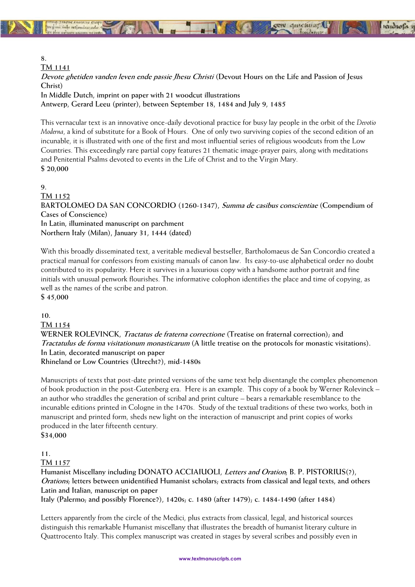

**[TM 1141](https://www.textmanuscripts.com/medieval/devout-hours-life-and-passion-182311)**

**Devote ghetiden vanden leven ende passie Jhesu Christi (Devout Hours on the Life and Passion of Jesus Christ)**

**SEIN QUICKLIFT** 

kudwa

**In Middle Dutch, imprint on paper with 21 woodcut illustrations Antwerp, Gerard Leeu (printer), between September 18, 1484 and July 9, 1485**

This vernacular text is an innovative once-daily devotional practice for busy lay people in the orbit of the *Devotio Moderna*, a kind of substitute for a Book of Hours. One of only two surviving copies of the second edition of an incunable, it is illustrated with one of the first and most influential series of religious woodcuts from the Low Countries. This exceedingly rare partial copy features 21 thematic image-prayer pairs, along with meditations and Penitential Psalms devoted to events in the Life of Christ and to the Virgin Mary. **\$ 20,000**

## **9.**

**[TM 1152](https://www.textmanuscripts.com/medieval/compendium-cases-conscience-182314) BARTOLOMEO DA SAN CONCORDIO (1260-1347), Summa de casibus conscientiae (Compendium of Cases of Conscience) In Latin, illuminated manuscript on parchment Northern Italy (Milan), January 31, 1444 (dated)**

With this broadly disseminated text, a veritable medieval bestseller, Bartholomaeus de San Concordio created a practical manual for confessors from existing manuals of canon law. Its easy-to-use alphabetical order no doubt contributed to its popularity. Here it survives in a luxurious copy with a handsome author portrait and fine initials with unusual penwork flourishes. The informative colophon identifies the place and time of copying, as well as the names of the scribe and patron.

**\$ 45,000**

### **10.**

**[TM 1154](https://www.textmanuscripts.com/medieval/treatise-fraternal-correction-182316)**

**WERNER ROLEVINCK, Tractatus de fraterna correctione (Treatise on fraternal correction); and Tractatulus de forma visitationum monasticarum (A little treatise on the protocols for monastic visitations). In Latin, decorated manuscript on paper**

**Rhineland or Low Countries (Utrecht?), mid-1480s**

Manuscripts of texts that post-date printed versions of the same text help disentangle the complex phenomenon of book production in the post-Gutenberg era. Here is an example. This copy of a book by Werner Rolevinck – an author who straddles the generation of scribal and print culture – bears a remarkable resemblance to the incunable editions printed in Cologne in the 1470s. Study of the textual traditions of these two works, both in manuscript and printed form, sheds new light on the interaction of manuscript and print copies of works produced in the later fifteenth century. **\$34,000**

# **11.**

**[TM 1157](https://www.textmanuscripts.com/medieval/humanist-miscellany-182320)**

**Humanist Miscellany including DONATO ACCIAIUOLI, Letters and Oration; B. P. PISTORIUS(?), Orations; letters between unidentified Humanist scholars; extracts from classical and legal texts, and others Latin and Italian, manuscript on paper**

**Italy (Palermo; and possibly Florence?), 1420s; c. 1480 (after 1479); c. 1484-1490 (after 1484)**

Letters apparently from the circle of the Medici, plus extracts from classical, legal, and historical sources distinguish this remarkable Humanist miscellany that illustrates the breadth of humanist literary culture in Quattrocento Italy. This complex manuscript was created in stages by several scribes and possibly even in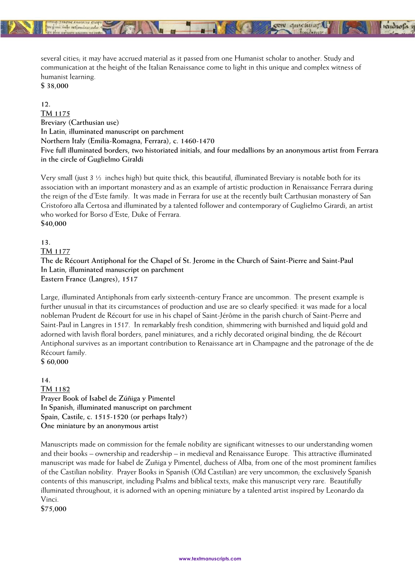

several cities; it may have accrued material as it passed from one Humanist scholar to another. Study and communication at the height of the Italian Renaissance come to light in this unique and complex witness of humanist learning.

 $\blacksquare$ 

gew quickuur!

**State of** 

**\$ 38,000**

**12. [TM 1175](https://www.textmanuscripts.com/medieval/breviary-carthusian-use-182321) Breviary (Carthusian use) In Latin, illuminated manuscript on parchment Northern Italy (Emilia-Romagna, Ferrara), c. 1460-1470 Five full illuminated borders, two historiated initials, and four medallions by an anonymous artist from Ferrara in the circle of Guglielmo Giraldi** 

Very small (just  $3 \frac{1}{2}$  inches high) but quite thick, this beautiful, illuminated Breviary is notable both for its association with an important monastery and as an example of artistic production in Renaissance Ferrara during the reign of the d'Este family. It was made in Ferrara for use at the recently built Carthusian monastery of San Cristoforo alla Certosa and illuminated by a talented follower and contemporary of Guglielmo Girardi, an artist who worked for Borso d'Este, Duke of Ferrara. **\$40,000**

### **13.**

#### **[TM 1177](https://www.textmanuscripts.com/medieval/the-de-recourt-antiphonal-182322)**

**The de Récourt Antiphonal for the Chapel of St. Jerome in the Church of Saint-Pierre and Saint-Paul In Latin, illuminated manuscript on parchment Eastern France (Langres), 1517**

Large, illuminated Antiphonals from early sixteenth-century France are uncommon. The present example is further unusual in that its circumstances of production and use are so clearly specified: it was made for a local nobleman Prudent de Récourt for use in his chapel of Saint-Jérôme in the parish church of Saint-Pierre and Saint-Paul in Langres in 1517. In remarkably fresh condition, shimmering with burnished and liquid gold and adorned with lavish floral borders, panel miniatures, and a richly decorated original binding, the de Récourt Antiphonal survives as an important contribution to Renaissance art in Champagne and the patronage of the de Récourt family.

### **\$ 60,000**

**14. [TM 1182](https://www.textmanuscripts.com/medieval/isabel-de-zuniga-prayer-book-182326) Prayer Book of Isabel de Zúñiga y Pimentel In Spanish, illuminated manuscript on parchment Spain, Castile, c. 1515-1520 (or perhaps Italy?) One miniature by an anonymous artist**

Manuscripts made on commission for the female nobility are significant witnesses to our understanding women and their books – ownership and readership – in medieval and Renaissance Europe. This attractive illuminated manuscript was made for Isabel de Zuñiga y Pimentel, duchess of Alba, from one of the most prominent families of the Castilian nobility. Prayer Books in Spanish (Old Castilian) are very uncommon; the exclusively Spanish contents of this manuscript, including Psalms and biblical texts, make this manuscript very rare. Beautifully illuminated throughout, it is adorned with an opening miniature by a talented artist inspired by Leonardo da Vinci.

**\$75,000**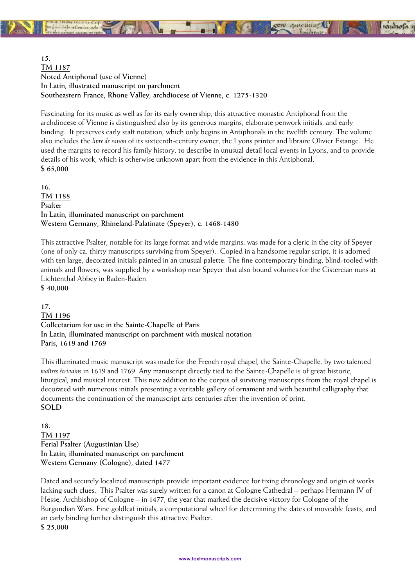windust

**15. [TM 1187](https://www.textmanuscripts.com/medieval/noted-antiphonal-182330) Noted Antiphonal (use of Vienne) In Latin, illustrated manuscript on parchment Southeastern France, Rhone Valley, archdiocese of Vienne, c. 1275-1320**

Fascinating for its music as well as for its early ownership, this attractive monastic Antiphonal from the archdiocese of Vienne is distinguished also by its generous margins, elaborate penwork initials, and early binding. It preserves early staff notation, which only begins in Antiphonals in the twelfth century. The volume also includes the *livre de raison* of its sixteenth-century owner, the Lyons printer and libraire Olivier Estange. He used the margins to record his family history, to describe in unusual detail local events in Lyons, and to provide details of his work, which is otherwise unknown apart from the evidence in this Antiphonal. **\$ 65,000** 

**16. [TM 1188](https://www.textmanuscripts.com/medieval/german-psalter-182332) Psalter In Latin, illuminated manuscript on parchment Western Germany, Rhineland-Palatinate (Speyer), c. 1468-1480** 

This attractive Psalter, notable for its large format and wide margins, was made for a cleric in the city of Speyer (one of only ca. thirty manuscripts surviving from Speyer). Copied in a handsome regular script, it is adorned with ten large, decorated initials painted in an unusual palette. The fine contemporary binding, blind-tooled with animals and flowers, was supplied by a workshop near Speyer that also bound volumes for the Cistercian nuns at Lichtenthal Abbey in Baden-Baden. **\$ 40,000** 

**17. [TM 1196](https://www.textmanuscripts.com/medieval/collectarium-sainte-chapelle-paris-182336) Collectarium for use in the Sainte-Chapelle of Paris In Latin, illuminated manuscript on parchment with musical notation Paris, 1619 and 1769** 

This illuminated music manuscript was made for the French royal chapel, the Sainte-Chapelle, by two talented *maîtres écrivains* in 1619 and 1769. Any manuscript directly tied to the Sainte-Chapelle is of great historic, liturgical, and musical interest. This new addition to the corpus of surviving manuscripts from the royal chapel is decorated with numerous initials presenting a veritable gallery of ornament and with beautiful calligraphy that documents the continuation of the manuscript arts centuries after the invention of print. **SOLD**

**18. [TM 1197](https://www.textmanuscripts.com/medieval/ferial-psalter-182337) Ferial Psalter (Augustinian Use) In Latin, illuminated manuscript on parchment Western Germany (Cologne), dated 1477** 

Dated and securely localized manuscripts provide important evidence for fixing chronology and origin of works lacking such clues. This Psalter was surely written for a canon at Cologne Cathedral – perhaps Hermann IV of Hesse, Archbishop of Cologne – in 1477, the year that marked the decisive victory for Cologne of the Burgundian Wars. Fine goldleaf initials, a computational wheel for determining the dates of moveable feasts, and an early binding further distinguish this attractive Psalter. **\$ 25,000**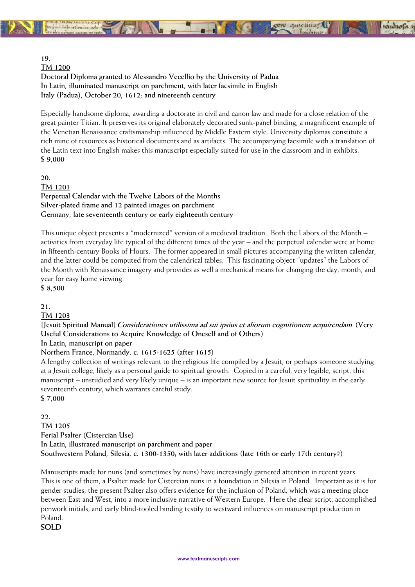

### **19.**

**[TM 1200](https://www.textmanuscripts.com/medieval/padua-doctoral-diploma-182422)**

**Doctoral Diploma granted to Alessandro Vecellio by the University of Padua In Latin, illuminated manuscript on parchment, with later facsimile in English Italy (Padua), October 20, 1612; and nineteenth century** 

Especially handsome diploma, awarding a doctorate in civil and canon law and made for a close relation of the great painter Titian. It preserves its original elaborately decorated sunk-panel binding, a magnificent example of the Venetian Renaissance craftsmanship influenced by Middle Eastern style. University diplomas constitute a rich mine of resources as historical documents and as artifacts. The accompanying facsimile with a translation of the Latin text into English makes this manuscript especially suited for use in the classroom and in exhibits. **\$ 9,000** 

**20. [TM 1201](https://www.textmanuscripts.com/medieval/perpetual-calendar-twelve-labors-182423) Perpetual Calendar with the Twelve Labors of the Months Silver-plated frame and 12 painted images on parchment Germany, late seventeenth century or early eighteenth century** 

This unique object presents a "modernized" version of a medieval tradition. Both the Labors of the Month – activities from everyday life typical of the different times of the year – and the perpetual calendar were at home in fifteenth-century Books of Hours. The former appeared in small pictures accompanying the written calendar, and the latter could be computed from the calendrical tables. This fascinating object "updates" the Labors of the Month with Renaissance imagery and provides as well a mechanical means for changing the day, month, and year for easy home viewing.

**\$ 8,500** 

### **21.**

**[TM 1203](https://www.textmanuscripts.com/medieval/considerations-knowledge-182425)**

**[Jesuit Spiritual Manual] Considerationes utilissima ad sui ipsius et aliorum cognitionem acquirendam (Very Useful Considerations to Acquire Knowledge of Oneself and of Others)** 

**In Latin, manuscript on paper** 

**Northern France, Normandy, c. 1615-1625 (after 1615)** 

A lengthy collection of writings relevant to the religious life compiled by a Jesuit, or perhaps someone studying at a Jesuit college, likely as a personal guide to spiritual growth. Copied in a careful, very legible, script, this manuscript – unstudied and very likely unique – is an important new source for Jesuit spirituality in the early seventeenth century, which warrants careful study.

**\$ 7,000** 

**22. [TM 1205](https://www.textmanuscripts.com/medieval/ferial-psalter-cistercian-use-182430) Ferial Psalter (Cistercian Use) In Latin, illustrated manuscript on parchment and paper Southwestern Poland, Silesia, c. 1300-1350; with later additions (late 16th or early 17th century?)** 

Manuscripts made for nuns (and sometimes by nuns) have increasingly garnered attention in recent years. This is one of them, a Psalter made for Cistercian nuns in a foundation in Silesia in Poland. Important as it is for gender studies, the present Psalter also offers evidence for the inclusion of Poland, which was a meeting place between East and West, into a more inclusive narrative of Western Europe. Here the clear script, accomplished penwork initials, and early blind-tooled binding testify to westward influences on manuscript production in Poland.

SOLD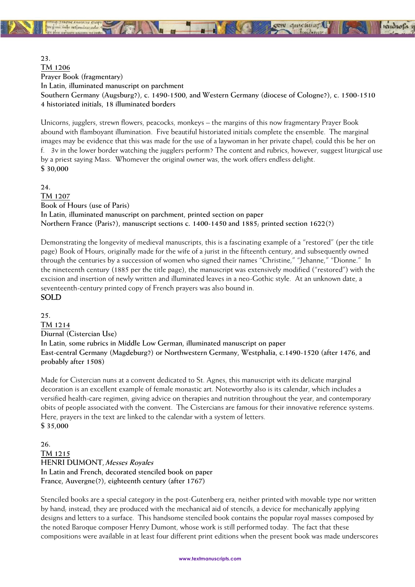**23. [TM 1206](https://www.textmanuscripts.com/medieval/illuminated-prayer-book-182436) Prayer Book (fragmentary) In Latin, illuminated manuscript on parchment Southern Germany (Augsburg?), c. 1490-1500, and Western Germany (diocese of Cologne?), c. 1500-1510 4 historiated initials, 18 illuminated borders** 

**CEN quickling!** 

Unicorns, jugglers, strewn flowers, peacocks, monkeys – the margins of this now fragmentary Prayer Book abound with flamboyant illumination. Five beautiful historiated initials complete the ensemble. The marginal images may be evidence that this was made for the use of a laywoman in her private chapel; could this be her on f. 3v in the lower border watching the jugglers perform? The content and rubrics, however, suggest liturgical use by a priest saying Mass. Whomever the original owner was, the work offers endless delight. **\$ 30,000**

**24. [TM 1207](https://www.textmanuscripts.com/medieval/book-of-hours-use-of-paris-182434) Book of Hours (use of Paris) In Latin, illuminated manuscript on parchment, printed section on paper Northern France (Paris?), manuscript sections c. 1400-1450 and 1885; printed section 1622(?)** 

Demonstrating the longevity of medieval manuscripts, this is a fascinating example of a "restored" (per the title page) Book of Hours, originally made for the wife of a jurist in the fifteenth century, and subsequently owned through the centuries by a succession of women who signed their names "Christine," "Jehanne," "Dionne." In the nineteenth century (1885 per the title page), the manuscript was extensively modified ("restored") with the excision and insertion of newly written and illuminated leaves in a neo-Gothic style. At an unknown date, a seventeenth-century printed copy of French prayers was also bound in. SOLD

**25. [TM 1214](https://www.textmanuscripts.com/medieval/cistercian-use-diurnal-182440) Diurnal (Cistercian Use) In Latin, some rubrics in Middle Low German, illuminated manuscript on paper East-central Germany (Magdeburg?) or Northwestern Germany, Westphalia, c.1490-1520 (after 1476, and probably after 1508)** 

Made for Cistercian nuns at a convent dedicated to St. Agnes, this manuscript with its delicate marginal decoration is an excellent example of female monastic art. Noteworthy also is its calendar, which includes a versified health-care regimen, giving advice on therapies and nutrition throughout the year, and contemporary obits of people associated with the convent. The Cistercians are famous for their innovative reference systems. Here, prayers in the text are linked to the calendar with a system of letters. **\$ 35,000** 

**26. [TM 1215](https://www.textmanuscripts.com/medieval/messes-royales-182443) HENRI DUMONT, Messes Royales In Latin and French, decorated stenciled book on paper France, Auvergne(?), eighteenth century (after 1767)** 

Stenciled books are a special category in the post-Gutenberg era, neither printed with movable type nor written by hand; instead, they are produced with the mechanical aid of stencils, a device for mechanically applying designs and letters to a surface. This handsome stenciled book contains the popular royal masses composed by the noted Baroque composer Henry Dumont, whose work is still performed today. The fact that these compositions were available in at least four different print editions when the present book was made underscores